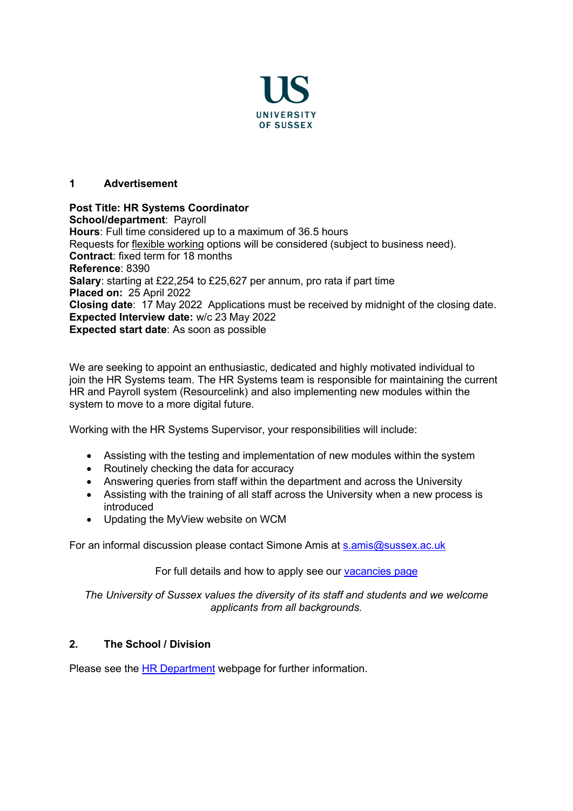

## **1 Advertisement**

**Post Title: HR Systems Coordinator School/department**: Payroll **Hours**: Full time considered up to a maximum of 36.5 hours Requests for flexible [working](http://www.sussex.ac.uk/humanresources/personnel/flexible-working) options will be considered (subject to business need). **Contract**: fixed term for 18 months **Reference**: 8390 **Salary**: starting at £22,254 to £25,627 per annum, pro rata if part time **Placed on:** 25 April 2022 **Closing date**: 17 May 2022 Applications must be received by midnight of the closing date. **Expected Interview date:** w/c 23 May 2022 **Expected start date**: As soon as possible

We are seeking to appoint an enthusiastic, dedicated and highly motivated individual to join the HR Systems team. The HR Systems team is responsible for maintaining the current HR and Payroll system (Resourcelink) and also implementing new modules within the system to move to a more digital future.

Working with the HR Systems Supervisor, your responsibilities will include:

- Assisting with the testing and implementation of new modules within the system
- Routinely checking the data for accuracy
- Answering queries from staff within the department and across the University
- Assisting with the training of all staff across the University when a new process is introduced
- Updating the MyView website on WCM

For an informal discussion please contact Simone Amis at [s.amis@sussex.ac.uk](mailto:s.amis@sussex.ac.uk)

For full details and how to apply see our [vacancies](http://www.sussex.ac.uk/about/jobs) page

*The University of Sussex values the diversity of its staff and students and we welcome applicants from all backgrounds.*

# **2. The School / Division**

Please see the **HR [Department](https://www.sussex.ac.uk/humanresources/index)** webpage for further information.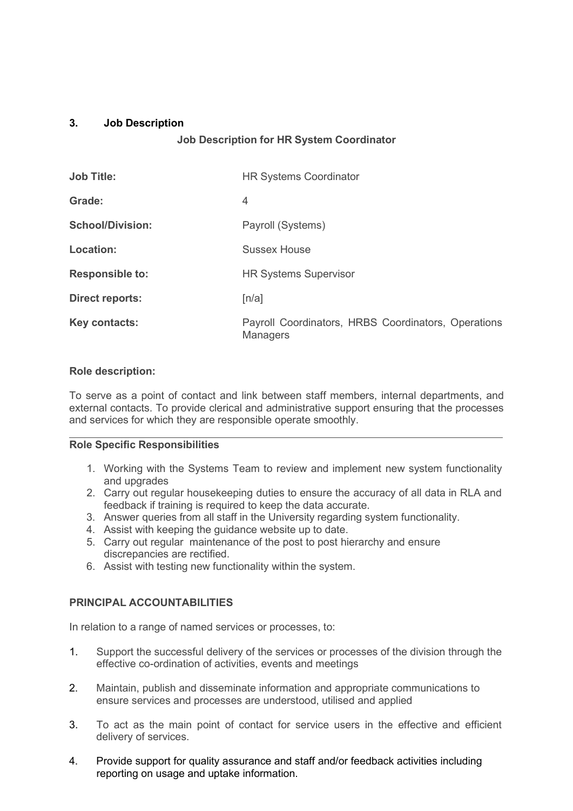## **3. Job Description**

## **Job Description for HR System Coordinator**

| <b>Job Title:</b>       | <b>HR Systems Coordinator</b>                                          |
|-------------------------|------------------------------------------------------------------------|
| Grade:                  | 4                                                                      |
| <b>School/Division:</b> | Payroll (Systems)                                                      |
| Location:               | <b>Sussex House</b>                                                    |
| <b>Responsible to:</b>  | <b>HR Systems Supervisor</b>                                           |
| <b>Direct reports:</b>  | [n/a]                                                                  |
| Key contacts:           | Payroll Coordinators, HRBS Coordinators, Operations<br><b>Managers</b> |

## **Role description:**

To serve as a point of contact and link between staff members, internal departments, and external contacts. To provide clerical and administrative support ensuring that the processes and services for which they are responsible operate smoothly.

#### **Role Specific Responsibilities**

- 1. Working with the Systems Team to review and implement new system functionality and upgrades
- 2. Carry out regular housekeeping duties to ensure the accuracy of all data in RLA and feedback if training is required to keep the data accurate.
- 3. Answer queries from all staff in the University regarding system functionality.
- 4. Assist with keeping the guidance website up to date.
- 5. Carry out regular maintenance of the post to post hierarchy and ensure discrepancies are rectified.
- 6. Assist with testing new functionality within the system.

## **PRINCIPAL ACCOUNTABILITIES**

In relation to a range of named services or processes, to:

- 1. Support the successful delivery of the services or processes of the division through the effective co-ordination of activities, events and meetings
- 2. Maintain, publish and disseminate information and appropriate communications to ensure services and processes are understood, utilised and applied
- 3. To act as the main point of contact for service users in the effective and efficient delivery of services.
- 4. Provide support for quality assurance and staff and/or feedback activities including reporting on usage and uptake information.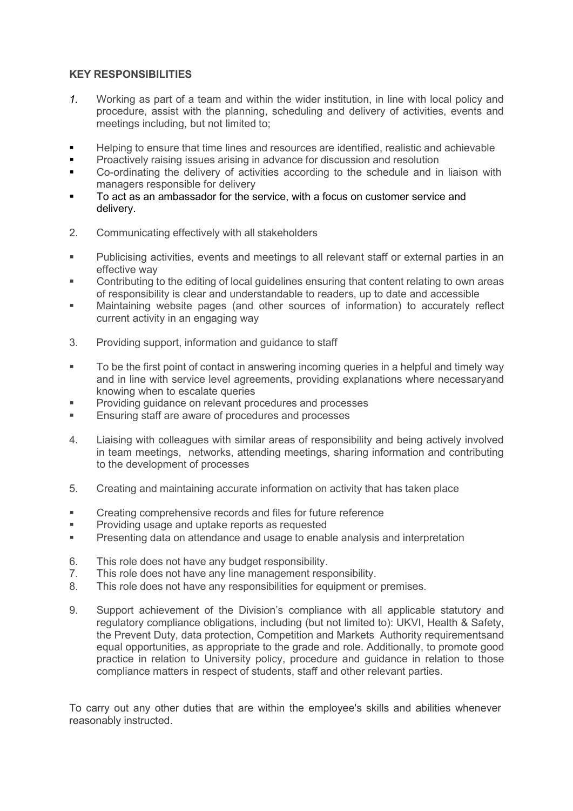## **KEY RESPONSIBILITIES**

- *1.* Working as part of a team and within the wider institution, in line with local policy and procedure, assist with the planning, scheduling and delivery of activities, events and meetings including, but not limited to;
- Helping to ensure that time lines and resources are identified, realistic and achievable
- Proactively raising issues arising in advance for discussion and resolution
- Co-ordinating the delivery of activities according to the schedule and in liaison with managers responsible for delivery
- To act as an ambassador for the service, with a focus on customer service and delivery.
- 2. Communicating effectively with all stakeholders
- Publicising activities, events and meetings to all relevant staff or external parties in an effective way
- Contributing to the editing of local guidelines ensuring that content relating to own areas of responsibility is clear and understandable to readers, up to date and accessible
- Maintaining website pages (and other sources of information) to accurately reflect current activity in an engaging way
- 3. Providing support, information and guidance to staff
- To be the first point of contact in answering incoming queries in a helpful and timely way and in line with service level agreements, providing explanations where necessaryand knowing when to escalate queries
- Providing guidance on relevant procedures and processes
- **Ensuring staff are aware of procedures and processes**
- 4. Liaising with colleagues with similar areas of responsibility and being actively involved in team meetings, networks, attending meetings, sharing information and contributing to the development of processes
- 5. Creating and maintaining accurate information on activity that has taken place
- **EXECT** Creating comprehensive records and files for future reference
- **Providing usage and uptake reports as requested**<br>**Presenting data on attendance and usage to enab**
- Presenting data on attendance and usage to enable analysis and interpretation
- 6. This role does not have any budget responsibility.
- 7. This role does not have any line management responsibility.
- 8. This role does not have any responsibilities for equipment or premises.
- 9. Support achievement of the Division's compliance with all applicable statutory and regulatory compliance obligations, including (but not limited to): UKVI, Health & Safety, the Prevent Duty, data protection, Competition and Markets Authority requirementsand equal opportunities, as appropriate to the grade and role. Additionally, to promote good practice in relation to University policy, procedure and guidance in relation to those compliance matters in respect of students, staff and other relevant parties.

To carry out any other duties that are within the employee's skills and abilities whenever reasonably instructed.